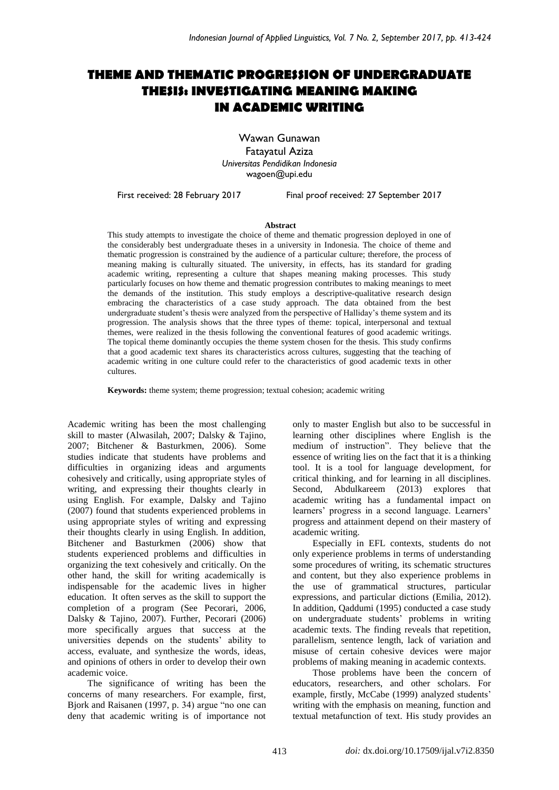# **THEME AND THEMATIC PROGRESSION OF UNDERGRADUATE THESIS: INVESTIGATING MEANING MAKING IN ACADEMIC WRITING**

Wawan Gunawan Fatayatul Aziza *Universitas Pendidikan Indonesia* [wagoen@upi.edu](mailto:wagoen@upi.edu)

First received: 28 February 2017 Final proof received: 27 September 2017

#### **Abstract**

This study attempts to investigate the choice of theme and thematic progression deployed in one of the considerably best undergraduate theses in a university in Indonesia. The choice of theme and thematic progression is constrained by the audience of a particular culture; therefore, the process of meaning making is culturally situated. The university, in effects, has its standard for grading academic writing, representing a culture that shapes meaning making processes. This study particularly focuses on how theme and thematic progression contributes to making meanings to meet the demands of the institution. This study employs a descriptive-qualitative research design embracing the characteristics of a case study approach. The data obtained from the best undergraduate student's thesis were analyzed from the perspective of Halliday's theme system and its progression. The analysis shows that the three types of theme: topical, interpersonal and textual themes, were realized in the thesis following the conventional features of good academic writings. The topical theme dominantly occupies the theme system chosen for the thesis. This study confirms that a good academic text shares its characteristics across cultures, suggesting that the teaching of academic writing in one culture could refer to the characteristics of good academic texts in other cultures.

**Keywords:** theme system; theme progression; textual cohesion; academic writing

Academic writing has been the most challenging skill to master (Alwasilah, 2007; Dalsky & Tajino, 2007; Bitchener & Basturkmen, 2006). Some studies indicate that students have problems and difficulties in organizing ideas and arguments cohesively and critically, using appropriate styles of writing, and expressing their thoughts clearly in using English. For example, Dalsky and Tajino (2007) found that students experienced problems in using appropriate styles of writing and expressing their thoughts clearly in using English. In addition, Bitchener and Basturkmen (2006) show that students experienced problems and difficulties in organizing the text cohesively and critically. On the other hand, the skill for writing academically is indispensable for the academic lives in higher education. It often serves as the skill to support the completion of a program (See Pecorari, 2006, Dalsky & Tajino, 2007). Further, Pecorari (2006) more specifically argues that success at the universities depends on the students' ability to access, evaluate, and synthesize the words, ideas, and opinions of others in order to develop their own academic voice.

The significance of writing has been the concerns of many researchers. For example, first, Bjork and Raisanen (1997, p. 34) argue "no one can deny that academic writing is of importance not only to master English but also to be successful in learning other disciplines where English is the medium of instruction". They believe that the essence of writing lies on the fact that it is a thinking tool. It is a tool for language development, for critical thinking, and for learning in all disciplines. Second, Abdulkareem (2013) explores that academic writing has a fundamental impact on learners' progress in a second language. Learners' progress and attainment depend on their mastery of academic writing.

Especially in EFL contexts, students do not only experience problems in terms of understanding some procedures of writing, its schematic structures and content, but they also experience problems in the use of grammatical structures, particular expressions, and particular dictions (Emilia, 2012). In addition, Qaddumi (1995) conducted a case study on undergraduate students' problems in writing academic texts. The finding reveals that repetition, parallelism, sentence length, lack of variation and misuse of certain cohesive devices were major problems of making meaning in academic contexts.

Those problems have been the concern of educators, researchers, and other scholars. For example, firstly, McCabe (1999) analyzed students' writing with the emphasis on meaning, function and textual metafunction of text. His study provides an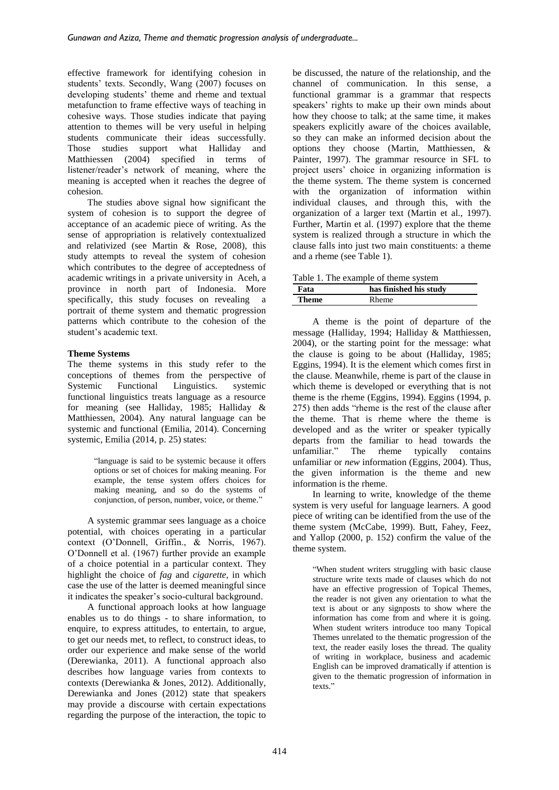effective framework for identifying cohesion in students' texts. Secondly, Wang (2007) focuses on developing students' theme and rheme and textual metafunction to frame effective ways of teaching in cohesive ways. Those studies indicate that paying attention to themes will be very useful in helping students communicate their ideas successfully. Those studies support what Halliday and Matthiessen (2004) specified in terms of listener/reader's network of meaning, where the meaning is accepted when it reaches the degree of cohesion.

The studies above signal how significant the system of cohesion is to support the degree of acceptance of an academic piece of writing. As the sense of appropriation is relatively contextualized and relativized (see Martin & Rose, 2008), this study attempts to reveal the system of cohesion which contributes to the degree of acceptedness of academic writings in a private university in Aceh, a province in north part of Indonesia. More specifically, this study focuses on revealing a portrait of theme system and thematic progression patterns which contribute to the cohesion of the student's academic text.

# **Theme Systems**

The theme systems in this study refer to the conceptions of themes from the perspective of Systemic Functional Linguistics. systemic functional linguistics treats language as a resource for meaning (see Halliday, 1985; Halliday & Matthiessen, 2004). Any natural language can be systemic and functional (Emilia, 2014). Concerning systemic, Emilia (2014, p. 25) states:

> "language is said to be systemic because it offers options or set of choices for making meaning. For example, the tense system offers choices for making meaning, and so do the systems of conjunction, of person, number, voice, or theme."

A systemic grammar sees language as a choice potential, with choices operating in a particular context (O'Donnell, Griffin., & Norris, 1967). O'Donnell et al. (1967) further provide an example of a choice potential in a particular context. They highlight the choice of *fag* and *cigarette,* in which case the use of the latter is deemed meaningful since it indicates the speaker's socio-cultural background.

A functional approach looks at how language enables us to do things - to share information, to enquire, to express attitudes, to entertain, to argue, to get our needs met, to reflect, to construct ideas, to order our experience and make sense of the world (Derewianka, 2011). A functional approach also describes how language varies from contexts to contexts (Derewianka & Jones, 2012). Additionally, Derewianka and Jones (2012) state that speakers may provide a discourse with certain expectations regarding the purpose of the interaction, the topic to be discussed, the nature of the relationship, and the channel of communication. In this sense, a functional grammar is a grammar that respects speakers' rights to make up their own minds about how they choose to talk; at the same time, it makes speakers explicitly aware of the choices available, so they can make an informed decision about the options they choose (Martin, Matthiessen, & Painter, 1997). The grammar resource in SFL to project users' choice in organizing information is the theme system. The theme system is concerned with the organization of information within individual clauses, and through this, with the organization of a larger text (Martin et al., 1997). Further, Martin et al. (1997) explore that the theme system is realized through a structure in which the clause falls into just two main constituents: a theme and a rheme (see Table 1).

| Table 1. The example of theme system |                        |  |  |  |  |  |
|--------------------------------------|------------------------|--|--|--|--|--|
| Fata                                 | has finished his study |  |  |  |  |  |
| Theme                                | <b>Rheme</b>           |  |  |  |  |  |

A theme is the point of departure of the message (Halliday, 1994; Halliday & Matthiessen, 2004), or the starting point for the message: what the clause is going to be about (Halliday, 1985; Eggins, 1994). It is the element which comes first in the clause. Meanwhile, rheme is part of the clause in which theme is developed or everything that is not theme is the rheme (Eggins, 1994). Eggins (1994, p. 275) then adds "rheme is the rest of the clause after the theme. That is rheme where the theme is developed and as the writer or speaker typically departs from the familiar to head towards the unfamiliar." The rheme typically contains unfamiliar or *new* information (Eggins, 2004). Thus, the given information is the theme and new information is the rheme.

In learning to write, knowledge of the theme system is very useful for language learners. A good piece of writing can be identified from the use of the theme system (McCabe, 1999). Butt, Fahey, Feez, and Yallop (2000, p. 152) confirm the value of the theme system.

"When student writers struggling with basic clause structure write texts made of clauses which do not have an effective progression of Topical Themes, the reader is not given any orientation to what the text is about or any signposts to show where the information has come from and where it is going. When student writers introduce too many Topical Themes unrelated to the thematic progression of the text, the reader easily loses the thread. The quality of writing in workplace, business and academic English can be improved dramatically if attention is given to the thematic progression of information in texts<sup>"</sup>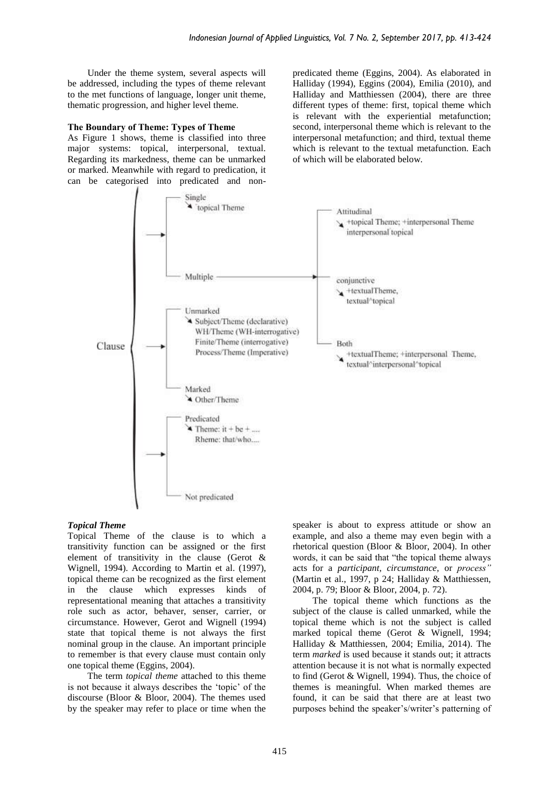Under the theme system, several aspects will be addressed, including the types of theme relevant to the met functions of language, longer unit theme, thematic progression, and higher level theme.

#### **The Boundary of Theme: Types of Theme**

As Figure 1 shows, theme is classified into three major systems: topical, interpersonal, textual. Regarding its markedness, theme can be unmarked or marked. Meanwhile with regard to predication, it can be categorised into predicated and nonpredicated theme (Eggins, 2004). As elaborated in Halliday (1994), Eggins (2004), Emilia (2010), and Halliday and Matthiessen (2004), there are three different types of theme: first, topical theme which is relevant with the experiential metafunction; second, interpersonal theme which is relevant to the interpersonal metafunction; and third, textual theme which is relevant to the textual metafunction. Each of which will be elaborated below.



## *Topical Theme*

Topical Theme of the clause is to which a transitivity function can be assigned or the first element of transitivity in the clause (Gerot & Wignell, 1994). According to Martin et al. (1997), topical theme can be recognized as the first element in the clause which expresses kinds of representational meaning that attaches a transitivity role such as actor, behaver, senser, carrier, or circumstance. However, Gerot and Wignell (1994) state that topical theme is not always the first nominal group in the clause. An important principle to remember is that every clause must contain only one topical theme (Eggins, 2004).

The term *topical theme* attached to this theme is not because it always describes the 'topic' of the discourse (Bloor & Bloor, 2004). The themes used by the speaker may refer to place or time when the

speaker is about to express attitude or show an example, and also a theme may even begin with a rhetorical question (Bloor & Bloor, 2004). In other words, it can be said that "the topical theme always acts for a *participant, circumstance,* or *process"*  (Martin et al., 1997, p 24; Halliday & Matthiessen, 2004, p. 79; Bloor & Bloor, 2004, p. 72).

The topical theme which functions as the subject of the clause is called unmarked, while the topical theme which is not the subject is called marked topical theme (Gerot & Wignell, 1994; Halliday & Matthiessen, 2004; Emilia, 2014). The term *marked* is used because it stands out; it attracts attention because it is not what is normally expected to find (Gerot & Wignell, 1994). Thus, the choice of themes is meaningful. When marked themes are found, it can be said that there are at least two purposes behind the speaker's/writer's patterning of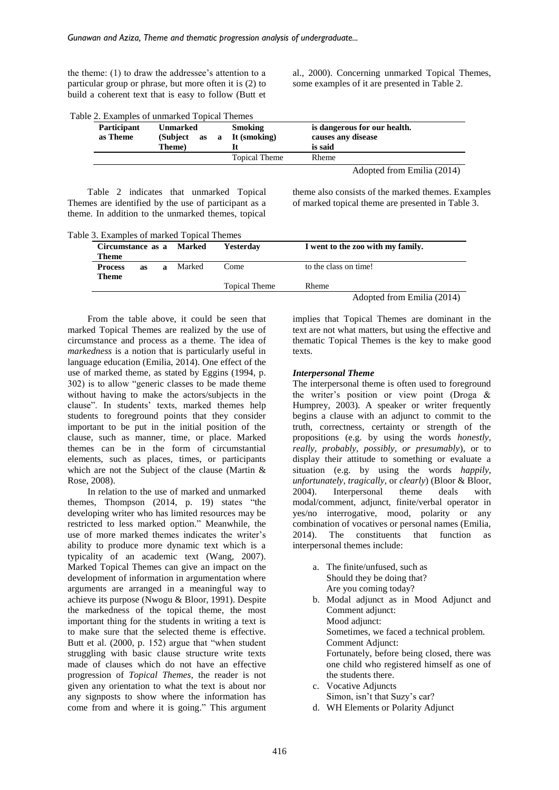the theme: (1) to draw the addressee's attention to a particular group or phrase, but more often it is (2) to build a coherent text that is easy to follow (Butt et al., 2000). Concerning unmarked Topical Themes, some examples of it are presented in Table 2.

| Table 2. Examples of unmarked Topical Themes |  |  |  |  |  |  |  |
|----------------------------------------------|--|--|--|--|--|--|--|
|                                              |  |  |  |  |  |  |  |

| <b>Participant</b><br>as Theme | <b>Unmarked</b><br>(Subject as<br>Theme) | <b>Smoking</b><br>a It (smoking) | is dangerous for our health.<br>causes any disease<br>is said |  |  |
|--------------------------------|------------------------------------------|----------------------------------|---------------------------------------------------------------|--|--|
|                                |                                          | Topical Theme                    | Rheme                                                         |  |  |
|                                |                                          |                                  | Adopted from Emilia (2014)                                    |  |  |

Table 2 indicates that unmarked Topical Themes are identified by the use of participant as a theme. In addition to the unmarked themes, topical theme also consists of the marked themes. Examples of marked topical theme are presented in Table 3.

Table 3. Examples of marked Topical Themes

| Circumstance as a Marked       |           | Yesterday | I went to the zoo with my family. |                      |                            |  |
|--------------------------------|-----------|-----------|-----------------------------------|----------------------|----------------------------|--|
| Theme                          |           |           |                                   |                      |                            |  |
| <b>Process</b><br><b>Theme</b> | <b>as</b> | a         | Marked                            | Come                 | to the class on time!      |  |
|                                |           |           |                                   | <b>Topical Theme</b> | Rheme                      |  |
|                                |           |           |                                   |                      | Adopted from Emilia (2014) |  |

From the table above, it could be seen that marked Topical Themes are realized by the use of circumstance and process as a theme. The idea of *markedness* is a notion that is particularly useful in language education (Emilia, 2014). One effect of the use of marked theme, as stated by Eggins (1994, p. 302) is to allow "generic classes to be made theme without having to make the actors/subjects in the clause". In students' texts, marked themes help students to foreground points that they consider important to be put in the initial position of the clause, such as manner, time, or place. Marked themes can be in the form of circumstantial elements, such as places, times, or participants which are not the Subject of the clause (Martin & Rose, 2008).

In relation to the use of marked and unmarked themes, Thompson (2014, p. 19) states "the developing writer who has limited resources may be restricted to less marked option." Meanwhile, the use of more marked themes indicates the writer's ability to produce more dynamic text which is a typicality of an academic text (Wang, 2007). Marked Topical Themes can give an impact on the development of information in argumentation where arguments are arranged in a meaningful way to achieve its purpose (Nwogu & Bloor, 1991). Despite the markedness of the topical theme, the most important thing for the students in writing a text is to make sure that the selected theme is effective. Butt et al. (2000, p. 152) argue that "when student struggling with basic clause structure write texts made of clauses which do not have an effective progression of *Topical Themes,* the reader is not given any orientation to what the text is about nor any signposts to show where the information has come from and where it is going." This argument implies that Topical Themes are dominant in the text are not what matters, but using the effective and thematic Topical Themes is the key to make good texts.

#### *Interpersonal Theme*

The interpersonal theme is often used to foreground the writer's position or view point (Droga & Humprey, 2003). A speaker or writer frequently begins a clause with an adjunct to commit to the truth, correctness, certainty or strength of the propositions (e.g. by using the words *honestly, really, probably, possibly, or presumably*), or to display their attitude to something or evaluate a situation (e.g. by using the words *happily, unfortunately, tragically,* or *clearly*) (Bloor & Bloor, 2004). Interpersonal theme deals with modal/comment, adjunct, finite/verbal operator in yes/no interrogative, mood, polarity or any combination of vocatives or personal names (Emilia, 2014). The constituents that function as interpersonal themes include:

- a. The finite/unfused, such as Should they be doing that? Are you coming today?
- b. Modal adjunct as in Mood Adjunct and Comment adjunct: Mood adjunct: Sometimes, we faced a technical problem. Comment Adjunct: Fortunately, before being closed, there was one child who registered himself as one of the students there. c. Vocative Adjuncts
- Simon, isn't that Suzy's car? d. WH Elements or Polarity Adjunct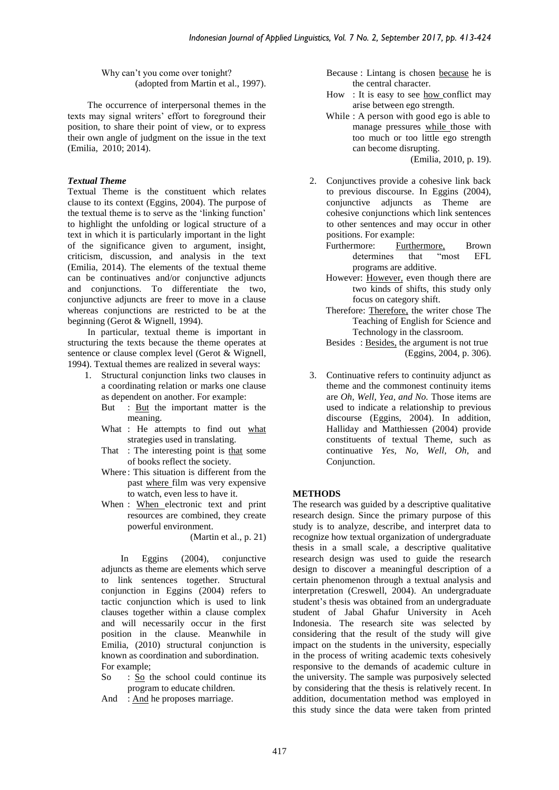Why can't you come over tonight? (adopted from Martin et al., 1997).

The occurrence of interpersonal themes in the texts may signal writers' effort to foreground their position, to share their point of view, or to express their own angle of judgment on the issue in the text (Emilia, 2010; 2014).

## *Textual Theme*

Textual Theme is the constituent which relates clause to its context (Eggins, 2004). The purpose of the textual theme is to serve as the 'linking function' to highlight the unfolding or logical structure of a text in which it is particularly important in the light of the significance given to argument, insight, criticism, discussion, and analysis in the text (Emilia, 2014). The elements of the textual theme can be continuatives and/or conjunctive adjuncts and conjunctions. To differentiate the two, conjunctive adjuncts are freer to move in a clause whereas conjunctions are restricted to be at the beginning (Gerot & Wignell, 1994).

In particular, textual theme is important in structuring the texts because the theme operates at sentence or clause complex level (Gerot & Wignell, 1994). Textual themes are realized in several ways:

- 1. Structural conjunction links two clauses in a coordinating relation or marks one clause as dependent on another. For example:
	- But : But the important matter is the meaning.
	- What : He attempts to find out what strategies used in translating.
	- That : The interesting point is that some of books reflect the society.
	- Where: This situation is different from the past where film was very expensive to watch, even less to have it.
	- When : When electronic text and print resources are combined, they create powerful environment.

(Martin et al., p. 21)

In Eggins (2004), conjunctive adjuncts as theme are elements which serve to link sentences together. Structural conjunction in Eggins (2004) refers to tactic conjunction which is used to link clauses together within a clause complex and will necessarily occur in the first position in the clause. Meanwhile in Emilia, (2010) structural conjunction is known as coordination and subordination. For example;

- So : So the school could continue its program to educate children.
- And : And he proposes marriage.

Because : Lintang is chosen because he is the central character.

- How : It is easy to see how conflict may arise between ego strength.
- While : A person with good ego is able to manage pressures while those with too much or too little ego strength can become disrupting.

(Emilia, 2010, p. 19).

- 2. Conjunctives provide a cohesive link back to previous discourse. In Eggins (2004), conjunctive adjuncts as Theme are cohesive conjunctions which link sentences to other sentences and may occur in other positions. For example:
	- Furthermore: Furthermore, Brown<br>determines that "most EFL determines that "most EFL programs are additive.
	- However: However, even though there are two kinds of shifts, this study only focus on category shift.
	- Therefore: Therefore, the writer chose The Teaching of English for Science and Technology in the classroom.

Besides : Besides, the argument is not true (Eggins, 2004, p. 306).

3. Continuative refers to continuity adjunct as theme and the commonest continuity items are *Oh, Well, Yea, and No.* Those items are used to indicate a relationship to previous discourse (Eggins, 2004). In addition, Halliday and Matthiessen (2004) provide constituents of textual Theme, such as continuative *Yes, No, Well, Oh,* and Conjunction.

# **METHODS**

The research was guided by a descriptive qualitative research design. Since the primary purpose of this study is to analyze, describe, and interpret data to recognize how textual organization of undergraduate thesis in a small scale, a descriptive qualitative research design was used to guide the research design to discover a meaningful description of a certain phenomenon through a textual analysis and interpretation (Creswell, 2004). An undergraduate student's thesis was obtained from an undergraduate student of Jabal Ghafur University in Aceh Indonesia. The research site was selected by considering that the result of the study will give impact on the students in the university, especially in the process of writing academic texts cohesively responsive to the demands of academic culture in the university. The sample was purposively selected by considering that the thesis is relatively recent. In addition, documentation method was employed in this study since the data were taken from printed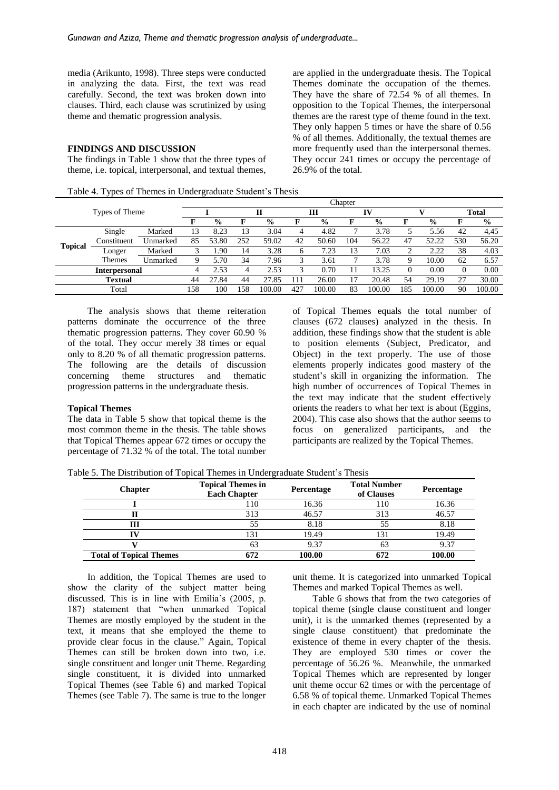media (Arikunto, 1998). Three steps were conducted in analyzing the data. First, the text was read carefully. Second, the text was broken down into clauses. Third, each clause was scrutinized by using theme and thematic progression analysis.

# **FINDINGS AND DISCUSSION**

The findings in Table 1 show that the three types of theme, i.e. topical, interpersonal, and textual themes,

are applied in the undergraduate thesis. The Topical Themes dominate the occupation of the themes. They have the share of 72.54 % of all themes. In opposition to the Topical Themes, the interpersonal themes are the rarest type of theme found in the text. They only happen 5 times or have the share of 0.56 % of all themes. Additionally, the textual themes are more frequently used than the interpersonal themes. They occur 241 times or occupy the percentage of 26.9% of the total.

|                |                      |          |     |               |     |               |                |               | Chapter       |               |     |               |              |               |
|----------------|----------------------|----------|-----|---------------|-----|---------------|----------------|---------------|---------------|---------------|-----|---------------|--------------|---------------|
| Types of Theme |                      |          |     |               |     |               | ш              |               | IV            |               |     |               | <b>Total</b> |               |
|                |                      |          |     | $\frac{0}{0}$ |     | $\frac{6}{9}$ | F              | $\frac{0}{0}$ |               | $\frac{6}{9}$ | F   | $\frac{0}{0}$ |              | $\frac{0}{0}$ |
|                | Single               | Marked   | 13  | 8.23          | 13  | 3.04          | 4              | 4.82          | -             | 3.78          |     | 5.56          | 42           | 4,45          |
|                | Constituent          | Unmarked | 85  | 53.80         | 252 | 59.02         | 42             | 50.60         | 104           | 56.22         | 47  | 52.22         | 530          | 56.20         |
| <b>Topical</b> | Longer               | Marked   |     | .90           | 14  | 3.28          | 6              | 7.23          | 13            | 7.03          |     | 2.22          | 38           | 4.03          |
|                | <b>Themes</b>        | Unmarked |     | 5.70          | 34  | 7.96          |                | 3.61          | -             | 3.78          |     | 10.00         | 62           | 6.57          |
|                | <b>Interpersonal</b> |          | 4   | 2.53          | 4   | 2.53          |                | 0.70          |               | 13.25         |     | 0.00          | 0            | 0.00          |
|                | <b>Textual</b>       |          | 44  | 27.84         | 44  | 27.85         | $\overline{1}$ | 26.00         | $\mathcal{I}$ | 20.48         | 54  | 29.19         | 27           | 30.00         |
|                | Total                |          | 158 | 100           | 158 | 100.00        | 427            | 100.00        | 83            | 100.00        | 185 | 100.00        | 90           | 100.00        |

The analysis shows that theme reiteration patterns dominate the occurrence of the three thematic progression patterns. They cover 60.90 % of the total. They occur merely 38 times or equal only to 8.20 % of all thematic progression patterns. The following are the details of discussion concerning theme structures and thematic progression patterns in the undergraduate thesis.

#### **Topical Themes**

The data in Table 5 show that topical theme is the most common theme in the thesis. The table shows that Topical Themes appear 672 times or occupy the percentage of 71.32 % of the total. The total number of Topical Themes equals the total number of clauses (672 clauses) analyzed in the thesis. In addition, these findings show that the student is able to position elements (Subject, Predicator, and Object) in the text properly. The use of those elements properly indicates good mastery of the student's skill in organizing the information. The high number of occurrences of Topical Themes in the text may indicate that the student effectively orients the readers to what her text is about (Eggins, 2004). This case also shows that the author seems to focus on generalized participants, and the participants are realized by the Topical Themes.

Table 5. The Distribution of Topical Themes in Undergraduate Student's Thesis

| <b>Chapter</b>                 | <b>Topical Themes in</b><br><b>Each Chapter</b> | Percentage | <b>Total Number</b><br>of Clauses | Percentage |
|--------------------------------|-------------------------------------------------|------------|-----------------------------------|------------|
|                                | l 10                                            | 16.36      | 110                               | 16.36      |
|                                | 313                                             | 46.57      | 313                               | 46.57      |
| Ш                              | 55                                              | 8.18       | 55                                | 8.18       |
|                                | 131                                             | 19.49      |                                   | 19.49      |
|                                | 63                                              | 9.37       | 63                                | 9.37       |
| <b>Total of Topical Themes</b> | 672                                             | 100.00     |                                   | 100.00     |

In addition, the Topical Themes are used to show the clarity of the subject matter being discussed. This is in line with Emilia's (2005, p. 187) statement that "when unmarked Topical Themes are mostly employed by the student in the text, it means that she employed the theme to provide clear focus in the clause." Again, Topical Themes can still be broken down into two, i.e. single constituent and longer unit Theme. Regarding single constituent, it is divided into unmarked Topical Themes (see Table 6) and marked Topical Themes (see Table 7). The same is true to the longer

unit theme. It is categorized into unmarked Topical Themes and marked Topical Themes as well.

Table 6 shows that from the two categories of topical theme (single clause constituent and longer unit), it is the unmarked themes (represented by a single clause constituent) that predominate the existence of theme in every chapter of the thesis. They are employed 530 times or cover the percentage of 56.26 %. Meanwhile, the unmarked Topical Themes which are represented by longer unit theme occur 62 times or with the percentage of 6.58 % of topical theme. Unmarked Topical Themes in each chapter are indicated by the use of nominal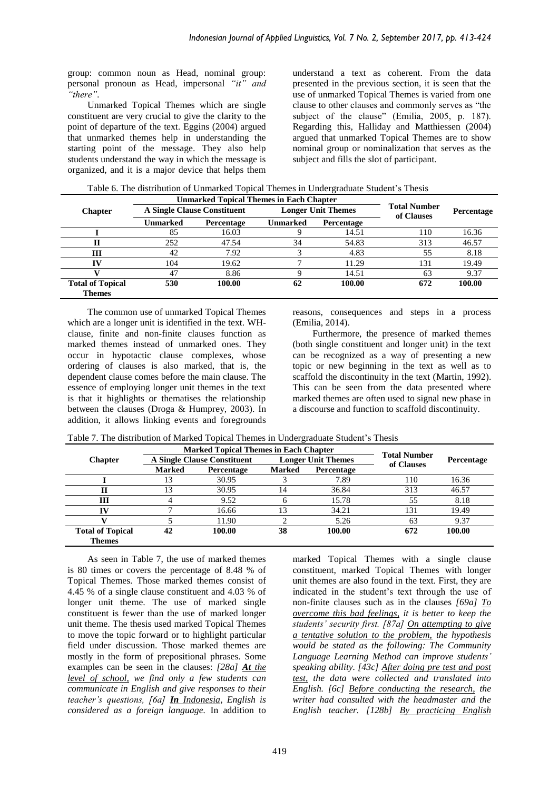group: common noun as Head, nominal group: personal pronoun as Head, impersonal *"it" and "there".*

Unmarked Topical Themes which are single constituent are very crucial to give the clarity to the point of departure of the text. Eggins (2004) argued that unmarked themes help in understanding the starting point of the message. They also help students understand the way in which the message is organized, and it is a major device that helps them understand a text as coherent. From the data presented in the previous section, it is seen that the use of unmarked Topical Themes is varied from one clause to other clauses and commonly serves as "the subject of the clause" (Emilia, 2005, p. 187). Regarding this, Halliday and Matthiessen (2004) argued that unmarked Topical Themes are to show nominal group or nominalization that serves as the subject and fills the slot of participant.

|  | Table 6. The distribution of Unmarked Topical Themes in Undergraduate Student's Thesis |
|--|----------------------------------------------------------------------------------------|
|--|----------------------------------------------------------------------------------------|

|                                          |          | <b>Unmarked Topical Themes in Each Chapter</b> |          |                           |                                   |                   |
|------------------------------------------|----------|------------------------------------------------|----------|---------------------------|-----------------------------------|-------------------|
| <b>Chapter</b>                           |          | <b>A Single Clause Constituent</b>             |          | <b>Longer Unit Themes</b> | <b>Total Number</b><br>of Clauses | <b>Percentage</b> |
|                                          | Unmarked | <b>Percentage</b>                              | Unmarked | Percentage                |                                   |                   |
|                                          | 85       | 16.03                                          |          | 14.51                     | 110                               | 16.36             |
| п                                        | 252      | 47.54                                          | 34       | 54.83                     | 313                               | 46.57             |
| Ш                                        | 42       | 7.92                                           |          | 4.83                      | 55                                | 8.18              |
| īν                                       | 104      | 19.62                                          |          | 11.29                     | 131                               | 19.49             |
|                                          | 47       | 8.86                                           |          | 14.51                     | 63                                | 9.37              |
| <b>Total of Topical</b><br><b>Themes</b> | 530      | 100.00                                         | 62       | 100.00                    | 672                               | 100.00            |

The common use of unmarked Topical Themes which are a longer unit is identified in the text. WHclause, finite and non-finite clauses function as marked themes instead of unmarked ones. They occur in hypotactic clause complexes, whose ordering of clauses is also marked, that is, the dependent clause comes before the main clause. The essence of employing longer unit themes in the text is that it highlights or thematises the relationship between the clauses (Droga & Humprey, 2003). In addition, it allows linking events and foregrounds

reasons, consequences and steps in a process (Emilia, 2014).

Furthermore, the presence of marked themes (both single constituent and longer unit) in the text can be recognized as a way of presenting a new topic or new beginning in the text as well as to scaffold the discontinuity in the text (Martin, 1992). This can be seen from the data presented where marked themes are often used to signal new phase in a discourse and function to scaffold discontinuity.

|                         |               | <b>Marked Topical Themes in Each Chapter</b> |        |                           |                     |            |
|-------------------------|---------------|----------------------------------------------|--------|---------------------------|---------------------|------------|
| <b>Chapter</b>          |               | <b>A Single Clause Constituent</b>           |        | <b>Longer Unit Themes</b> | <b>Total Number</b> | Percentage |
|                         | <b>Marked</b> | Percentage                                   | Marked | <b>Percentage</b>         | of Clauses          |            |
|                         |               | 30.95                                        |        | 7.89                      | 110                 | 16.36      |
| П                       | 13            | 30.95                                        | 14     | 36.84                     | 313                 | 46.57      |
| Ш                       |               | 9.52                                         | h      | 15.78                     | 55                  | 8.18       |
| IV                      |               | 16.66                                        | 13     | 34.21                     | 131                 | 19.49      |
|                         |               | 11.90                                        |        | 5.26                      | 63                  | 9.37       |
| <b>Total of Topical</b> | 42            | 100.00                                       | 38     | 100.00                    | 672                 | 100.00     |
| Themes                  |               |                                              |        |                           |                     |            |

Table 7. The distribution of Marked Topical Themes in Undergraduate Student's Thesis

As seen in Table 7, the use of marked themes is 80 times or covers the percentage of 8.48 % of Topical Themes. Those marked themes consist of 4.45 % of a single clause constituent and 4.03 % of longer unit theme. The use of marked single constituent is fewer than the use of marked longer unit theme. The thesis used marked Topical Themes to move the topic forward or to highlight particular field under discussion. Those marked themes are mostly in the form of prepositional phrases. Some examples can be seen in the clauses: *[28a] At the level of school, we find only a few students can communicate in English and give responses to their teacher's questions, [6a] In Indonesia, English is considered as a foreign language.* In addition to

marked Topical Themes with a single clause constituent, marked Topical Themes with longer unit themes are also found in the text. First, they are indicated in the student's text through the use of non-finite clauses such as in the clauses *[69a] To overcome this bad feelings, it is better to keep the students' security first. [87a] On attempting to give a tentative solution to the problem, the hypothesis would be stated as the following: The Community Language Learning Method can improve students' speaking ability. [43c] After doing pre test and post test, the data were collected and translated into English. [6c] Before conducting the research, the writer had consulted with the headmaster and the English teacher. [128b] By practicing English*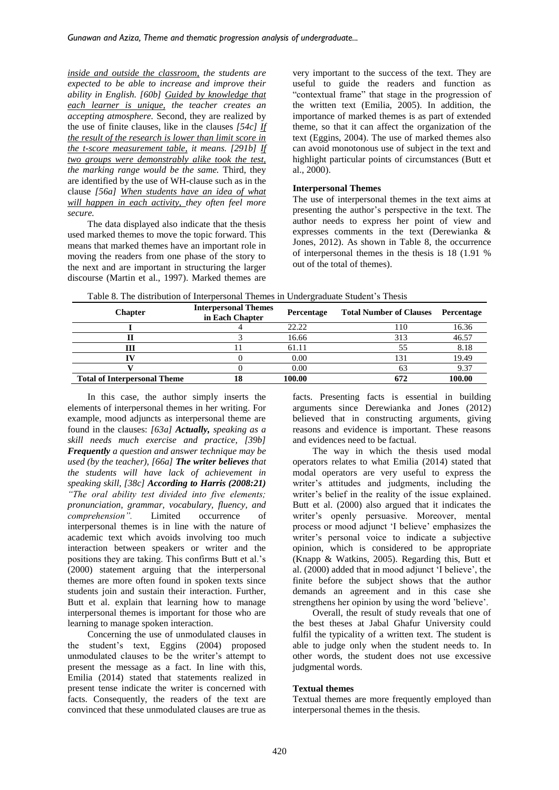*inside and outside the classroom, the students are expected to be able to increase and improve their ability in English. [60b] Guided by knowledge that each learner is unique, the teacher creates an accepting atmosphere.* Second, they are realized by the use of finite clauses, like in the clauses *[54c] If the result of the research is lower than limit score in the t-score measurement table, it means. [291b] If two groups were demonstrably alike took the test, the marking range would be the same.* Third, they are identified by the use of WH-clause such as in the clause *[56a] When students have an idea of what will happen in each activity, they often feel more secure.*

The data displayed also indicate that the thesis used marked themes to move the topic forward. This means that marked themes have an important role in moving the readers from one phase of the story to the next and are important in structuring the larger discourse (Martin et al., 1997). Marked themes are very important to the success of the text. They are useful to guide the readers and function as "contextual frame" that stage in the progression of the written text (Emilia, 2005). In addition, the importance of marked themes is as part of extended theme, so that it can affect the organization of the text (Eggins, 2004). The use of marked themes also can avoid monotonous use of subject in the text and highlight particular points of circumstances (Butt et al., 2000).

## **Interpersonal Themes**

The use of interpersonal themes in the text aims at presenting the author's perspective in the text. The author needs to express her point of view and expresses comments in the text (Derewianka & Jones, 2012). As shown in Table 8, the occurrence of interpersonal themes in the thesis is 18 (1.91 % out of the total of themes).

| <b>Chapter</b>                      | <b>Interpersonal Themes</b><br>in Each Chapter | Percentage | <b>Total Number of Clauses</b> | Percentage |
|-------------------------------------|------------------------------------------------|------------|--------------------------------|------------|
|                                     |                                                | 22.22      | 10                             | 16.36      |
|                                     |                                                | 16.66      | 313                            | 46.57      |
| ш                                   |                                                | 61.11      | 55                             | 8.18       |
|                                     |                                                | 0.00       |                                | 19.49      |
|                                     |                                                | 0.00       |                                | 9.37       |
| <b>Total of Interpersonal Theme</b> |                                                | 100.00     |                                | 100.00     |

In this case, the author simply inserts the elements of interpersonal themes in her writing. For example, mood adjuncts as interpersonal theme are found in the clauses: *[63a] Actually, speaking as a skill needs much exercise and practice, [39b] Frequently a question and answer technique may be used (by the teacher), [66a] The writer believes that the students will have lack of achievement in speaking skill, [38c] According to Harris (2008:21) "The oral ability test divided into five elements; pronunciation, grammar, vocabulary, fluency, and comprehension".* Limited occurrence of interpersonal themes is in line with the nature of academic text which avoids involving too much interaction between speakers or writer and the positions they are taking. This confirms Butt et al.'s (2000) statement arguing that the interpersonal themes are more often found in spoken texts since students join and sustain their interaction. Further, Butt et al. explain that learning how to manage interpersonal themes is important for those who are learning to manage spoken interaction.

Concerning the use of unmodulated clauses in the student's text, Eggins (2004) proposed unmodulated clauses to be the writer's attempt to present the message as a fact. In line with this, Emilia (2014) stated that statements realized in present tense indicate the writer is concerned with facts. Consequently, the readers of the text are convinced that these unmodulated clauses are true as facts. Presenting facts is essential in building arguments since Derewianka and Jones (2012) believed that in constructing arguments, giving reasons and evidence is important. These reasons and evidences need to be factual.

The way in which the thesis used modal operators relates to what Emilia (2014) stated that modal operators are very useful to express the writer's attitudes and judgments, including the writer's belief in the reality of the issue explained. Butt et al. (2000) also argued that it indicates the writer's openly persuasive. Moreover, mental process or mood adjunct 'I believe' emphasizes the writer's personal voice to indicate a subjective opinion, which is considered to be appropriate (Knapp & Watkins, 2005). Regarding this, Butt et al. (2000) added that in mood adjunct 'I believe', the finite before the subject shows that the author demands an agreement and in this case she strengthens her opinion by using the word 'believe'.

Overall, the result of study reveals that one of the best theses at Jabal Ghafur University could fulfil the typicality of a written text. The student is able to judge only when the student needs to. In other words, the student does not use excessive judgmental words.

## **Textual themes**

Textual themes are more frequently employed than interpersonal themes in the thesis.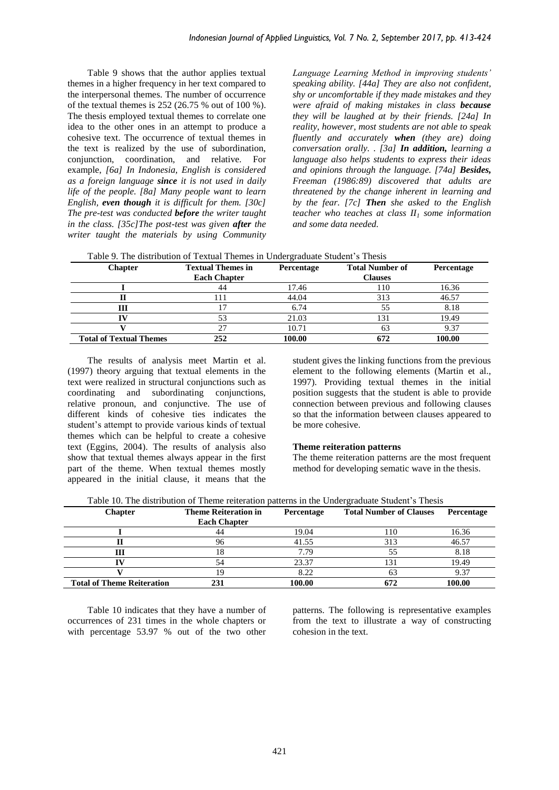Table 9 shows that the author applies textual themes in a higher frequency in her text compared to the interpersonal themes. The number of occurrence of the textual themes is 252 (26.75 % out of 100 %). The thesis employed textual themes to correlate one idea to the other ones in an attempt to produce a cohesive text. The occurrence of textual themes in the text is realized by the use of subordination, conjunction, coordination, and relative. For example, *[6a] In Indonesia, English is considered as a foreign language since it is not used in daily life of the people. [8a] Many people want to learn English, even though it is difficult for them. [30c] The pre-test was conducted before the writer taught in the class. [35c]The post-test was given after the writer taught the materials by using Community*  *Language Learning Method in improving students' speaking ability. [44a] They are also not confident, shy or uncomfortable if they made mistakes and they were afraid of making mistakes in class because they will be laughed at by their friends. [24a] In reality, however, most students are not able to speak fluently and accurately when (they are) doing conversation orally. . [3a] In addition, learning a language also helps students to express their ideas and opinions through the language. [74a] Besides, Freeman (1986:89) discovered that adults are threatened by the change inherent in learning and by the fear. [7c] Then she asked to the English teacher who teaches at class II<sup>1</sup> some information and some data needed.* 

| Table 9. The distribution of Textual Themes in Undergraduate Student's Thesis |                          |            |                        |            |  |  |
|-------------------------------------------------------------------------------|--------------------------|------------|------------------------|------------|--|--|
| <b>Chapter</b>                                                                | <b>Textual Themes in</b> | Percentage | <b>Total Number of</b> | Percentage |  |  |
|                                                                               | <b>Each Chapter</b>      |            | <b>Clauses</b>         |            |  |  |
|                                                                               | 44                       | 17.46      | 110                    | 16.36      |  |  |
|                                                                               | 111                      | 44.04      | 313                    | 46.57      |  |  |
| Ш                                                                             |                          | 6.74       | 55                     | 8.18       |  |  |
|                                                                               | 53                       | 21.03      | 131                    | 19.49      |  |  |
|                                                                               | 27                       | 10.71      | 63                     | 9.37       |  |  |
| <b>Total of Textual Themes</b>                                                | 252                      | 100.00     | 672                    | 100.00     |  |  |

The results of analysis meet Martin et al. (1997) theory arguing that textual elements in the text were realized in structural conjunctions such as coordinating and subordinating conjunctions, relative pronoun, and conjunctive. The use of different kinds of cohesive ties indicates the student's attempt to provide various kinds of textual themes which can be helpful to create a cohesive text (Eggins, 2004). The results of analysis also show that textual themes always appear in the first part of the theme. When textual themes mostly appeared in the initial clause, it means that the

student gives the linking functions from the previous element to the following elements (Martin et al., 1997). Providing textual themes in the initial position suggests that the student is able to provide connection between previous and following clauses so that the information between clauses appeared to be more cohesive.

## **Theme reiteration patterns**

The theme reiteration patterns are the most frequent method for developing sematic wave in the thesis.

| <b>Chapter</b>                    | <b>Theme Reiteration in</b><br><b>Each Chapter</b> | Percentage | <b>Total Number of Clauses</b> | <b>Percentage</b> |
|-----------------------------------|----------------------------------------------------|------------|--------------------------------|-------------------|
|                                   | 44                                                 | 19.04      | 110                            | 16.36             |
|                                   | 96                                                 | 41.55      | 313                            | 46.57             |
|                                   |                                                    | 7.79       |                                | 8.18              |
|                                   |                                                    | 23.37      | 131                            | 19.49             |
|                                   |                                                    | 8.22       |                                | 9.37              |
| <b>Total of Theme Reiteration</b> | 231                                                | 100.00     | 672                            | 100.00            |

Table 10 indicates that they have a number of occurrences of 231 times in the whole chapters or with percentage 53.97 % out of the two other

patterns. The following is representative examples from the text to illustrate a way of constructing cohesion in the text.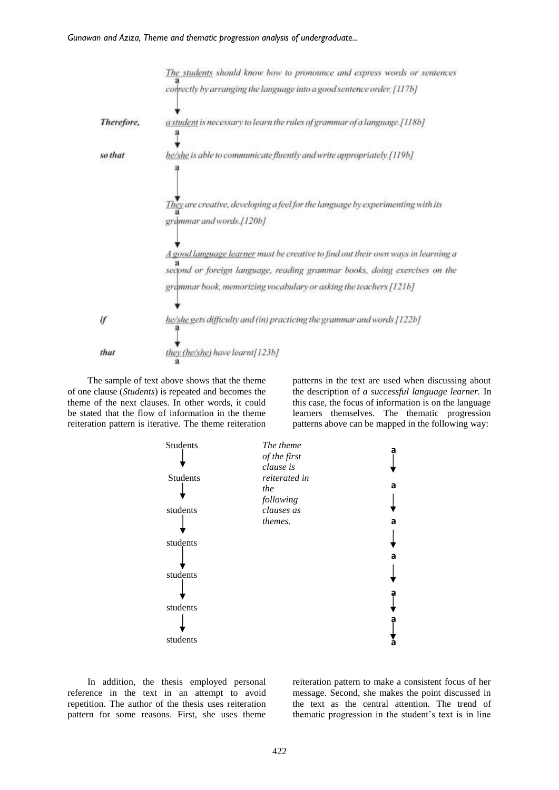

The sample of text above shows that the theme of one clause (*Students*) is repeated and becomes the theme of the next clauses. In other words, it could be stated that the flow of information in the theme reiteration pattern is iterative. The theme reiteration patterns in the text are used when discussing about the description of *a successful language learner.* In this case, the focus of information is on the language learners themselves. The thematic progression patterns above can be mapped in the following way:



In addition, the thesis employed personal reference in the text in an attempt to avoid repetition. The author of the thesis uses reiteration pattern for some reasons. First, she uses theme

reiteration pattern to make a consistent focus of her message. Second, she makes the point discussed in the text as the central attention. The trend of thematic progression in the student's text is in line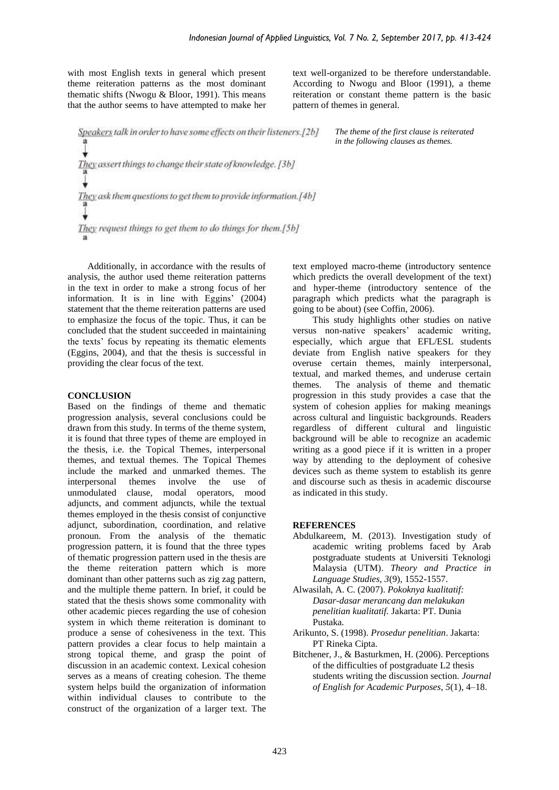with most English texts in general which present theme reiteration patterns as the most dominant thematic shifts (Nwogu & Bloor, 1991). This means that the author seems to have attempted to make her text well-organized to be therefore understandable. According to Nwogu and Bloor (1991), a theme reiteration or constant theme pattern is the basic pattern of themes in general.

> *The theme of the first clause is reiterated in the following clauses as themes.*

Speakers talk in order to have some effects on their listeners.[2b] They assert things to change their state of knowledge. [3b] They ask them questions to get them to provide information.[4b] They request things to get them to do things for them.[5b]

Additionally, in accordance with the results of analysis, the author used theme reiteration patterns in the text in order to make a strong focus of her information. It is in line with Eggins' (2004) statement that the theme reiteration patterns are used to emphasize the focus of the topic. Thus, it can be concluded that the student succeeded in maintaining the texts' focus by repeating its thematic elements (Eggins, 2004), and that the thesis is successful in providing the clear focus of the text.

#### **CONCLUSION**

Based on the findings of theme and thematic progression analysis, several conclusions could be drawn from this study. In terms of the theme system, it is found that three types of theme are employed in the thesis, i.e. the Topical Themes, interpersonal themes, and textual themes. The Topical Themes include the marked and unmarked themes. The interpersonal themes involve the use of unmodulated clause, modal operators, mood adjuncts, and comment adjuncts, while the textual themes employed in the thesis consist of conjunctive adjunct, subordination, coordination, and relative pronoun. From the analysis of the thematic progression pattern, it is found that the three types of thematic progression pattern used in the thesis are the theme reiteration pattern which is more dominant than other patterns such as zig zag pattern, and the multiple theme pattern. In brief, it could be stated that the thesis shows some commonality with other academic pieces regarding the use of cohesion system in which theme reiteration is dominant to produce a sense of cohesiveness in the text. This pattern provides a clear focus to help maintain a strong topical theme, and grasp the point of discussion in an academic context. Lexical cohesion serves as a means of creating cohesion. The theme system helps build the organization of information within individual clauses to contribute to the construct of the organization of a larger text. The text employed macro-theme (introductory sentence which predicts the overall development of the text) and hyper-theme (introductory sentence of the paragraph which predicts what the paragraph is going to be about) (see Coffin, 2006).

This study highlights other studies on native versus non-native speakers' academic writing, especially, which argue that EFL/ESL students deviate from English native speakers for they overuse certain themes, mainly interpersonal, textual, and marked themes, and underuse certain themes. The analysis of theme and thematic progression in this study provides a case that the system of cohesion applies for making meanings across cultural and linguistic backgrounds. Readers regardless of different cultural and linguistic background will be able to recognize an academic writing as a good piece if it is written in a proper way by attending to the deployment of cohesive devices such as theme system to establish its genre and discourse such as thesis in academic discourse as indicated in this study.

#### **REFERENCES**

- Abdulkareem, M. (2013). Investigation study of academic writing problems faced by Arab postgraduate students at Universiti Teknologi Malaysia (UTM). *Theory and Practice in Language Studies, 3*(9)*,* 1552-1557.
- Alwasilah, A. C. (2007). *Pokoknya kualitatif: Dasar-dasar merancang dan melakukan penelitian kualitatif.* Jakarta: PT. Dunia Pustaka.
- Arikunto, S. (1998). *Prosedur penelitian*. Jakarta: PT Rineka Cipta.
- Bitchener, J., & Basturkmen, H. (2006). Perceptions of the difficulties of postgraduate L2 thesis students writing the discussion section. *Journal of English for Academic Purposes*, *5*(1), 4–18.